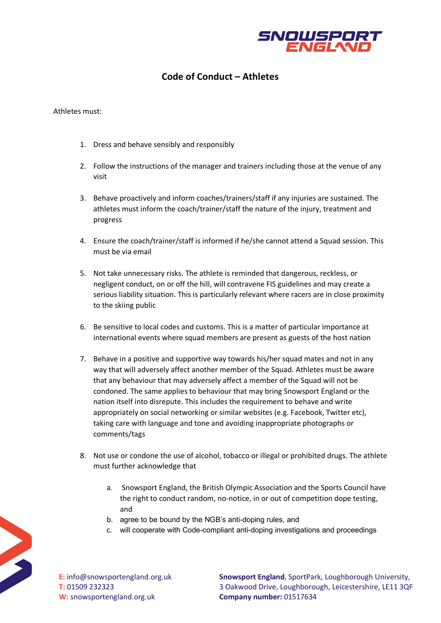

## **Code of Conduct – Athletes**

## Athletes must:

- 1. Dress and behave sensibly and responsibly
- 2. Follow the instructions of the manager and trainers including those at the venue of any visit
- 3. Behave proactively and inform coaches/trainers/staff if any injuries are sustained. The athletes must inform the coach/trainer/staff the nature of the injury, treatment and progress
- 4. Ensure the coach/trainer/staff is informed if he/she cannot attend a Squad session. This must be via email
- 5. Not take unnecessary risks. The athlete is reminded that dangerous, reckless, or negligent conduct, on or off the hill, will contravene FIS guidelines and may create a serious liability situation. This is particularly relevant where racers are in close proximity to the skiing public
- 6. Be sensitive to local codes and customs. This is a matter of particular importance at international events where squad members are present as guests of the host nation
- 7. Behave in a positive and supportive way towards his/her squad mates and not in any way that will adversely affect another member of the Squad. Athletes must be aware that any behaviour that may adversely affect a member of the Squad will not be condoned. The same applies to behaviour that may bring Snowsport England or the nation itself into disrepute. This includes the requirement to behave and write appropriately on social networking or similar websites (e.g. Facebook, Twitter etc), taking care with language and tone and avoiding inappropriate photographs or comments/tags
- 8. Not use or condone the use of alcohol, tobacco or illegal or prohibited drugs. The athlete must further acknowledge that
	- a. Snowsport England, the British Olympic Association and the Sports Council have the right to conduct random, no-notice, in or out of competition dope testing, and
	- b. agree to be bound by the NGB's anti-doping rules, and
	- c. will cooperate with Code-compliant anti-doping investigations and proceedings



**E:** info@snowsportengland.org.uk **T:** 01509 232323 **W:** snowsportengland.org.uk

**Snowsport England**, SportPark, Loughborough University, 3 Oakwood Drive, Loughborough, Leicestershire, LE11 3QF **Company number:** 01517634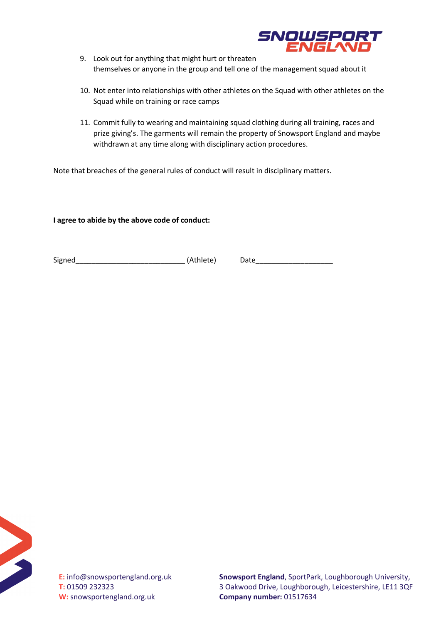

- 9. Look out for anything that might hurt or threaten themselves or anyone in the group and tell one of the management squad about it
- 10. Not enter into relationships with other athletes on the Squad with other athletes on the Squad while on training or race camps
- 11. Commit fully to wearing and maintaining squad clothing during all training, races and prize giving's. The garments will remain the property of Snowsport England and maybe withdrawn at any time along with disciplinary action procedures.

Note that breaches of the general rules of conduct will result in disciplinary matters.

**I agree to abide by the above code of conduct:**

Signed\_\_\_\_\_\_\_\_\_\_\_\_\_\_\_\_\_\_\_\_\_\_\_\_\_\_\_ (Athlete) Date\_\_\_\_\_\_\_\_\_\_\_\_\_\_\_\_\_\_\_